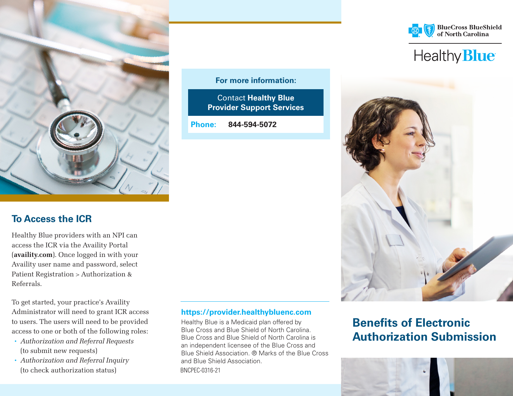

### **To Access the ICR**

Healthy Blue providers with an NPI can access the ICR via the Availity Portal ([availity.com](http://availity.com)). Once logged in with your Availity user name and password, select Patient Registration > Authorization & Referrals.

To get started, your practice's Availity Administrator will need to grant ICR access to users. The users will need to be provided access to one or both of the following roles:

- *Authorization and Referral Requests*  (to submit new requests)
- *Authorization and Referral Inquiry*  (to check authorization status) BNCPEC-0316-21

### **For more information:**

Contact **Healthy Blue Provider Support Services**

**Phone: 844-594-5072**







# **Benefits of Electronic Authorization Submission**



#### **https://provider.healthybluenc.com**

Healthy Blue is a Medicaid plan offered by Blue Cross and Blue Shield of North Carolina. Blue Cross and Blue Shield of North Carolina is an independent licensee of the Blue Cross and Blue Shield Association. ® Marks of the Blue Cross and Blue Shield Association.